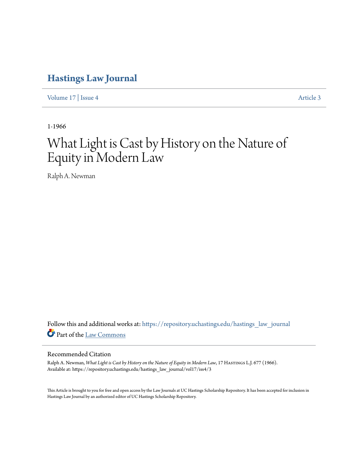## **[Hastings Law Journal](https://repository.uchastings.edu/hastings_law_journal?utm_source=repository.uchastings.edu%2Fhastings_law_journal%2Fvol17%2Fiss4%2F3&utm_medium=PDF&utm_campaign=PDFCoverPages)**

[Volume 17](https://repository.uchastings.edu/hastings_law_journal/vol17?utm_source=repository.uchastings.edu%2Fhastings_law_journal%2Fvol17%2Fiss4%2F3&utm_medium=PDF&utm_campaign=PDFCoverPages) | [Issue 4](https://repository.uchastings.edu/hastings_law_journal/vol17/iss4?utm_source=repository.uchastings.edu%2Fhastings_law_journal%2Fvol17%2Fiss4%2F3&utm_medium=PDF&utm_campaign=PDFCoverPages) [Article 3](https://repository.uchastings.edu/hastings_law_journal/vol17/iss4/3?utm_source=repository.uchastings.edu%2Fhastings_law_journal%2Fvol17%2Fiss4%2F3&utm_medium=PDF&utm_campaign=PDFCoverPages)

1-1966

## What Light is Cast by History on the Nature of Equity in Modern Law

Ralph A. Newman

Follow this and additional works at: [https://repository.uchastings.edu/hastings\\_law\\_journal](https://repository.uchastings.edu/hastings_law_journal?utm_source=repository.uchastings.edu%2Fhastings_law_journal%2Fvol17%2Fiss4%2F3&utm_medium=PDF&utm_campaign=PDFCoverPages) Part of the [Law Commons](http://network.bepress.com/hgg/discipline/578?utm_source=repository.uchastings.edu%2Fhastings_law_journal%2Fvol17%2Fiss4%2F3&utm_medium=PDF&utm_campaign=PDFCoverPages)

## Recommended Citation

Ralph A. Newman, *What Light is Cast by History on the Nature of Equity in Modern Law*, 17 Hastings L.J. 677 (1966). Available at: https://repository.uchastings.edu/hastings\_law\_journal/vol17/iss4/3

This Article is brought to you for free and open access by the Law Journals at UC Hastings Scholarship Repository. It has been accepted for inclusion in Hastings Law Journal by an authorized editor of UC Hastings Scholarship Repository.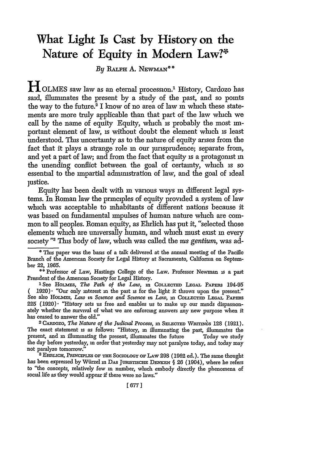## **What Light Is Cast by History on the Nature of Equity in Modern Law?\***

 $By$  Ralph A. Newman<sup>\*\*</sup>

HOLMES saw law as an eternal procession.' History, Cardozo has said, illuminates the present by a study of the past, and so points the way to the future.<sup>2</sup> I know of no area of law in which these statements are more truly applicable than that part of the law which we call by the name of equity Equity, which is probably the most inportant element of law, is without doubt the element which is least understood. This uncertainty as to the nature of equity arises from the fact that it plays a strange role **in** our jurisprudence; separate from, and yet a part of law; and from the fact that equity is a protagonist **in** the unending conflict between the goal of certainty, which is so essential to the impartial admimstration of law, and the goal of ideal justice.

Equity has been dealt with **in** various ways **in** different legal systems. In Roman law the principles of equity provided a system of law which was acceptable to inhabitants of different nations because it was based on fundamental impulses of human nature which are common to all peoples. Roman equity, as Ehrlich has put it, "selected those elements which are uiversally human, and which must exist **in** every society "<sup>3</sup> This body of law, which was called the *tus gentium*, was ad-

**\*** This paper was the basis of a talk delivered at the annual meeting of the Pacific Branch of the American Society for Legal History at Sacramento, Califorma on September 22, 1965.

**\*\*** Professor of Law, Hastings College of the Law. Professor Newman is a past President of the American Society for Legal History.

<sup>1</sup> See HOLMES, *The Path of the Law*, in COLLECTED LEGAL PAPERS 194-95 ( 1920). "Our only interest in the past is for the light it throws upon the present." See also HOLMES, *Law in Science and Science in Law*, in COLLECTED LEGAL PAPERS  $225$  (1920) $\cdot$  "History sets us free and enables us to make up our minds dispassionately whether the survival of what we are enforcing answers any new purpose when it has ceased to answer the old."<br><sup>2</sup>CARDOZO, *The Nature of the Judicial Process*, in SELECTED WRITINGS 128 (1921).

The exact statement is as follows: "History, **in** illuminating the past, illuminates the present, and in illuminating the present, illuminates the future Today we study the day before yesterday, **in** order that yesterday may not paralyze today, and today may not paralyze tomorrow.

**I** EmuLicE, **PaNcipr.LEs** oF THE SocIoLoGY OF LAw 298 (1962 ed.). The same thought has been expressed by Wiirzel **in** DAs **Jussvscir DENKEN § 26** (1904), where he refers to "the concepts, relatively few **in** number, which embody directly the phenomena of social life as they would appear if there were no laws."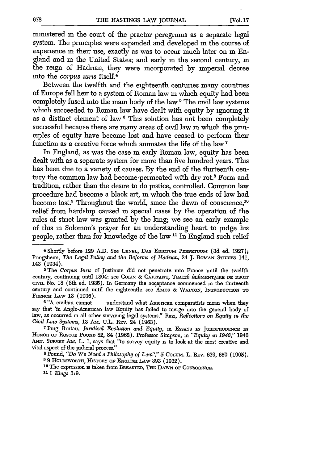minstered in the court of the praetor peregrmus as a separate legal system. The principles were expanded and developed in the course of experience **in** their use, exactly as was to occur much later on **in En**gland and **in** the United States; and early m the second century, **in** the reign of Hadrian, they were incorporated by imperial decree into the *corpus surts* itself.4

Between the twelfth and the eighteenth centuries many countries of Europe fell heir to a system of Roman law **in** which equity had been completely fused into the main body of the law<sup>5</sup> The civil law systems which succeeded to Roman law have dealt with equity by ignoring it as a distinct element of law <sup>6</sup> This solution has not been completely successful because there are many areas of civil law in which the principles of equity have become lost and have ceased to perform their function as a creative force which animates the life of the law **7**

In England, as was the case **in** early Roman law, equity has been dealt with as a separate system for more than five hundred years. This has been due to a variety of causes. By the end of the thirteenth century the common law had become permeated with dry rot.<sup>8</sup> Form and tradition, rather than the desire to do justice, controlled. Common law procedure had become a black art, **in** which the true ends of law had become lost.<sup>9</sup> Throughout the world, since the dawn of conscience,  $10$ relief from hardship caused in special cases by the operation of the rules of strict law was granted by the king; we see an early example of this in Solomon's prayer for an understanding heart to judge his people, rather than for knowledge of the law **11** In England such relief

<sup>5</sup> The *Corpus Iurus* of Justiman did not penetrate into France until the twelfth century, continuing until 1804; see COLIN & CAPITANT, TRAITÉ ÉLÉMENTAIRE DE DROIT cIvix. No. 18 (8th ed. 1935). In Germany the acceptance commenced in the thirteenth century and continued until the eighteenth; see AMos & WALTON, INTRODUCTION **TO FRENCH** LAw 13 (1936).

<sup>6</sup> "A civilian cannot understand what American comparatists mean when they say that 'in Anglo-American law Equity has failed to merge into the general body of law, as occurred in all other surviving legal systems." Razi, *Reflections on Equity in the Civil Law Systems,* **13** AM. U.L. REv. 24 (1963).

<sup>7</sup> Puig Brutau, *Juridical Evolution and Equity*, in Essays in JURISPRUDENCE IN **HONOR OF** RoscoE PoUN 82, 84 (1962). Professor Simpson, **in** *"Equity in 1946,"* 1946 Am. **SuRvEy** Am. L. 1, says that "to survey equity is to look at the most creative and vital aspect of the judicial process." **<sup>8</sup>**Pound, *"Do We Need a Philosophy of Law?"* 5 COLum. L. REV. 639, 650 (1905).

<sup>9</sup> 9 HOLDSWORTH, HISTORY OF ENGLISH LAW 393 (1932).

<sup>10</sup> The expression is taken from BREASTED, THE DAWN OF CONSCIENCE. *11 1 Kings* 3:9.

**<sup>4</sup>** Shortly before **129 A.D.** See **LENEL,** DAS **EDacTm PEnPETOum** (3d ed. 1927); Pnngsheun, *The Legal Policy and the Reforms of Hadrian,* 24 J. **RoMAN** STUDIS 141, 143 (1934).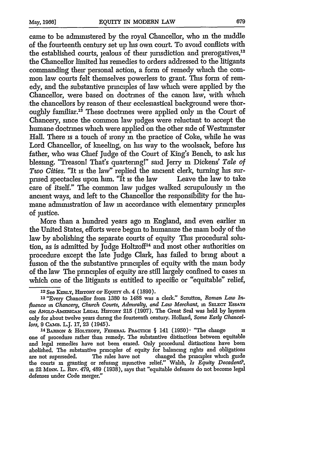came to be administered by the royal Chancellor, who **in** the middle of the fourteenth century set up his own court. To avoid conflicts with the established courts, jealous of their jurisdiction and prerogatives,<sup>12</sup> the Chancellor limited his remedies to orders addressed to the litigants commanding their personal action, a form of remedy which the common law courts felt themselves powerless to grant. This form of remedy, and the substantive principles of law which were applied by the Chancellor, were based on doctrines of the canon law, with which the chancellors by reason of their ecclesiastical background were thoroughly familiar.13 These doctrines were applied only **in** the Court of Chancery, since the common law judges were reluctant to accept the humane doctrines which were applied on the other side of Westminster Hall. There is a touch of irony **in** the practice of Coke, while he was Lord Chancellor, of kneeling, on his way to the woolsack, before his father, who was Chief Judge of the Court of King's Bench, to ask his blessing. "Treasonl That's quartering!" said Jerry **in** Dickens' *Tale of Two Cities.* "It is the law" replied the ancient clerk, turning his surprised spectacles upon him. "It is the law Leave the law to take prised spectacles upon him. " $\hat{I}$ t is the law care of itself." The common law judges walked scrupulously m the ancient ways, and left to the Chancellor the responsibility for the humane administration of law in accordance with elementary principles of justice.

More than a hundred years ago **in** England, and even earlier **in** the United States, efforts were begun to humanize the main body of the law by abolishing the separate courts of equity This procedural solution, as is admitted by Judge Holtzoff<sup>14</sup> and most other authorities on procedure except the late Judge Clark, has failed to bring about a fusion of the the substantive principles of equity with the main body of the law The principles of equity are still largely confined to cases **in** which one of the litigants is entitled to specific or "equitable" relief,

**<sup>12</sup>**See **KERLY, HIsToRY OF** EQurrY ch. 4 **(1890).**

**<sup>13</sup>** "Every Chancellor from **1380** to 1488 was a clerk." Scrutton, *Roman Law In*fluence in Chancery, Church Courts, Admiralty, and Law Merchant, in SELECT EssAYs **oN ANGLO-AmEICAN LEGAL** HiSTony **215** (1907). The Great Seal was held **by** laymen only for about twelve years during the fourteenth century. Holland, *Some Early Chancel* $lors, 9$  Самв. L.J. 17, 23 (1945).

<sup>1</sup> <sup>4</sup> BARoN & **HOLTZOFF, FEDERAL PRAcmCiE §** 141 **(1950)** "The change **is** one of procedure rather than remedy. The substantive distinctions between equitable and legal remedies have not been erased. Only procedural distinctions have been abolished. The substantive principles of equity for balancing rights and obligations are not superseded. The rules have not changed the principles which guide the courts **in** granting or refusing injunctive relief." Walsh, *Is Equity Decadent?,* in 22 Minn. L. REv. 479, 489 (1938), says that "equitable defenses do not become legal defenses under Code merger."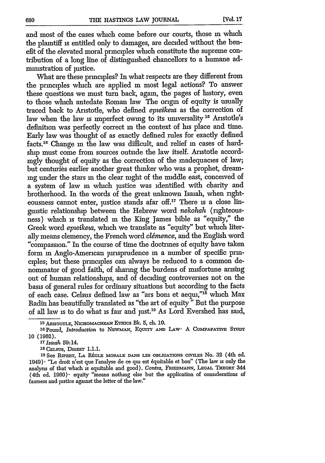and most of the cases which come before our courts, those **in** which the plaintiff is entitled only to damages, are decided without the benefit of the elevated moral principles which constitute the supreme contribution of a long line of distinguished chancellors to a humane administration of justice.

What are these principles? In what respects are they different from the principles which are applied **in** most legal actions? To answer these questions we must turn back, again, the pages of history, even to those which antedate Roman law The origin of equity is usually traced back to Aristotle, who defined *epteikeuz* as the correction of law when the law is imperfect owing to its universality **15** Aristotle's definition was perfectly correct in the context of his place and time. Early law was thought of as exactly defined rules for exactly defined facts."' Change **in** the law was difficult, and relief **in** cases of hardship must come from sources outside the law itself. Aristotle accordingly thought of equity as the correction of the inadequacies of law; but centuries earlier another great thinker who was a prophet, dreammg under the stars **in** the clear night of the middle east, conceived of a system of law **in** which justice was identified with charity and brotherhood. In the words of the great unknown Isaiah, when righteousness cannot enter, justice stands afar off.<sup>17</sup> There is a close linguistic relationship between the Hebrew word *nekohah* (righteousness) which is translated **in** the King James bible as "equity," the Greek word *epzeikewa,* which we translate as "equity" but which literally means clemency, the French word *clemence,* and the English word "compassion." In the course of time the doctrines of equity have taken form in Anglo-American jurisprudence **in** a number of specific principles; but these principles can always be reduced to a common denominator of good faith, of sharing the burdens of misfortune arising out of human relationships, and of deciding controversies not on the basis of general rules for ordinary situations but according to the facts of each case. Celsus defined law as "ars bonn et aequi,"18 which Max Radin has beautifully translated as "the art of equity" But the purpose of all law is to do what is fair and just.<sup>19</sup> As Lord Evershed has said,

**<sup>17</sup>***Isatah* 59:14. **<sup>1</sup> <sup>8</sup>**CELSUS, DIGEST **1.1.1.**

**<sup>19</sup>**See **RiPERT,** LA **PJGLE MORALE DANS LES** OBLIGATIONS **CIVInES** No. **32** (4th ed. 1949)" "Le droit n'est que l'analyse de ce **qu** est 6quitable et bon" (The law is only the analysis of that which is equitable and good). Contra, FRIEDMANN, LEGAL THEORY 344 (4th ed. 1960) equity "means nothing else but the application of considerations of fairness and justice against the letter of the law."

**<sup>15</sup>**AIsTOTLE, **NicHOmAcHEAN** E mcs **Bk.** 5, ch. **10.**

<sup>16</sup>Pound, *Introduction* to **NEwMAN,** EQUITY **AND** LAw" **A COmPAPATIVE STUDY 10** (1962).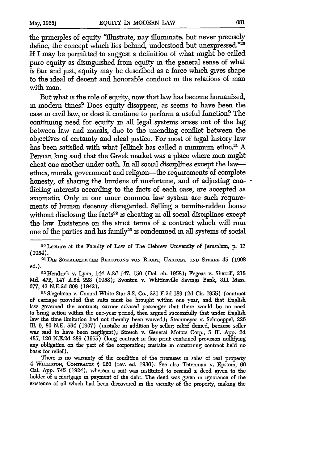the principles of equity "illustrate, nay illuminate, but never precisely define, the concept which lies behind, understood but unexpressed."20 **If** I may be permitted to suggest a definition of what might be called pure equity as dismguished from equity **in** the general sense of what is fair and just, equity may be described as a force which gives shape to the ideal of decent and honorable conduct **in** the relations of man with man.

But what is the role of equity, now that law has become humanized, **in** modern times? Does equity disappear, as seems to have been the case **in** civil law, or does it continue to perform a useful function? Thecontinuing need for equity **in** all legal systems arises out of the lag between law and morals, due to the unending conflict between the objectives of certainty and ideal justice. For most of legal history law has been satisfied with what Jellinek has called a minimum ethic.<sup>21</sup> A Persian king said that the Greek market was a place where men might cheat one another under oath. In all social disciplines except the lawethics, morals, government and religion-the requirements of complete honesty, of sharing the burdens of misfortune, and of adjusting conflicting interests according to the facts of each case, are accepted as axiomatic. Only **in** our inner common law system are such requirements of human decency disregarded. Selling a termite-ridden house without disclosing the facts<sup>22</sup> is cheating in all social disciplines except the law Insistence on the strict terms of a contract which will rum one of the parties and his family<sup>23</sup> is condemned in all systems of social

**ed.).** <sup>2</sup> <sup>2</sup> Hendrick v. Lynn, 144 **A.2d** 147, **150** (Del. ch. **1958);** Fegeas v. Sherrill, 218 **Md.** 472, 147 **A.2d 223 (1958);** Swinton v. Whitinsville Savings Bank, 311 Mass. 677, 42 **N.E.2d 808** (1942). **<sup>2</sup> <sup>3</sup>**Siegelman v. Cunard White Star **S.S.** Co., 221 **F.2d** 189 **(2d Cir. 1955)** (contract

of carnage provided that suits must be brought within one year, and that English law governed the contract; carrier advised passenger that there would be no need to bring action within the one-year period, then argued successfully that under English law the time limitation had not thereby been waived); Steinmeyer v. Schroeppel, 226 Ill. **9, 80** N.E. 564 (1907) (mistake **in** addition by seller; relief denied, because seller was said to have been negligent); Streich v. General Motors Corp., 5 Ill. App. 2d 485, **126** N.E.2d 389 **(1955)** (long contract **in** fine prnt contained provision nullifying any obligation on the part of the corporation; mistake **in** construing contract held no basis for relief).

There **is** no warranty of the condition of the premises **in** sales of real property 4 **WmLLISTON,** CoNTRAcrs § 926 (rev. ed. 1936). See also Tetenman v. Epstein, **66** Cal. App. 745 (1924), wherein a suit was instituted to rescind a deed given to the holder of a mortgage in payment of the debt. The deed was given **in** ignorance of the existence of oil which had been discovered in the vicinity of the property, making the

<sup>20</sup> Lecture at the Faculty of Law of The Hebrew University of Jerusalem, p. 17 (1954).

<sup>&</sup>lt;sup>21</sup> DIE SOZIALETHISCHE BEDEUTUNG VON RECHT, UNRECHT UND STRAFE 45 (1908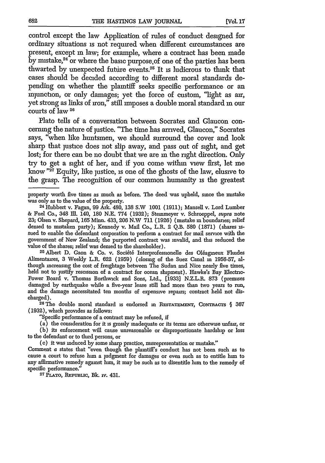control except the law Application of rules of conduct designed for ordinary situations is not required when different circumstances are present, except m law; for example, where a contract has been made by mistake, $24$  or where the basic purpose of one of the parties has been thwarted by unexpected future events.<sup>25</sup> It is ludicrous to think that cases should be decided according to different moral standards depending on whether the plaintiff seeks specific performance or an injunction, or only damages; yet the force of custom, "light as air, yet strong as links of iron," still imposes a double moral standard in our courts of law 26

Plato tells of a conversation between Socrates and Glaucon concerning the nature of justice. "The time has arrived, Glaucon," Socrates says, "when like huntsmen, we should surround the cover and look sharp that justice does not slip away, and pass out of sight, and get lost; for there can be no doubt that we are in the right direction. Only try to get a sight of her, and if you come within view first, let me know "<sup>27</sup> Equity, like justice, is one of the ghosts of the law, elusive to the grasp. The recognition of our common humanity is the greatest

Alimentaires, 3 Weekly L.R. 622 (1959) (closing of the Suez Canal in 1956-57, although increasing the cost of freightage between The Sudan and Nice nearly five times, held not to justify rescission of a contract for ocean shipment). Hawke's Bay Electric-Power Board v. Thomas Borthwick and Sons, Ltd., [1933] N.Z.L.R. 873 (premises damaged by earthquake while a five-year lease still had more than two years to run, and the damage necessitated ten months of expensive repairs; contract held not discharged).

<sup>26</sup> The double moral standard is endorsed in RESTATEMENT, CONTRACTS § 367 (1932), which provides as follows:

"Specific performance of a contract may be refused, if

(a) the consideration for it is grossly inadequate or its terms are otherwise unfair, or (b) its enforcement will cause unreasonable or disproportionate hardship or loss to the defendant or to third persons, or

**(c)** it was induced **by** some sharp practice, misrepresentation or mistake."

Comment a states that "even though the plaintiff's conduct has not been such as to cause a court to refuse *hun* a judgment for damages or even such as to entitle *hun* to any affirmative remedy against him, it may be such as to disentitle him to the remedy of specific performance." **<sup>2</sup> <sup>7</sup>** PL&TO, REPuBrac, **Bk.** iv. 431.

property worth five times as much as before. The deed was upheld, since the mistake

was only as to the value of the property. 24 Hubbert v. Fagan, 99 Ark. 480, **138** S.W 1001 (1911); Mansell v. Lord Lumber **&** Fuel Co., 348 **IIl.** 140, **180** N.E. 774 (1932); Stemmeyer v. Schroeppel, supra note 23; Olsen v. Shepard, 165 Minn. 433, 206 N.W **711** (1926) (mistake in boundaries; relief denied to mistaken party); Kennedy v. Mail Co., L.R. 2 **Q.B.** 580 (1871) (shares issued to enable the defendant corporation to perform a contract for mail service with the government of New Zealand; the purported contract was invalid, and this reduced the value of the shares; relief was demed to the shareholder).<br><sup>25</sup> Albert D. Gaon & Co. v. Société Interprofessionelle des Oléagineux Fluides